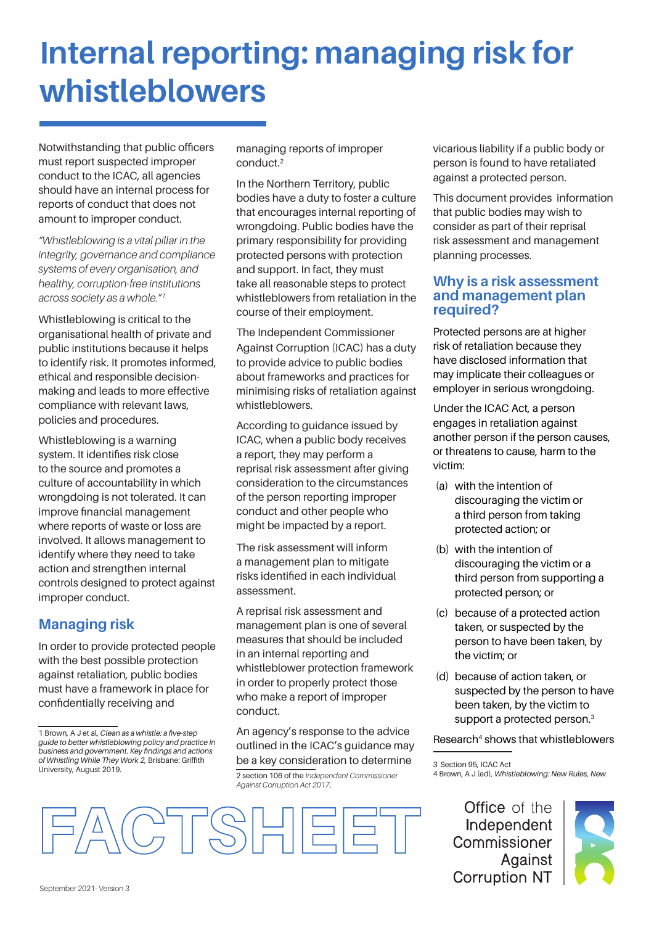# **Internal reporting: managing risk for whistleblowers**

Notwithstanding that public officers must report suspected improper conduct to the ICAC, all agencies should have an internal process for reports of conduct that does not amount to improper conduct.

*"Whistleblowing is a vital pillar in the integrity, governance and compliance systems of every organisation, and healthy, corruption-free institutions across society as a whole."1*

Whistleblowing is critical to the organisational health of private and public institutions because it helps to identify risk. It promotes informed, ethical and responsible decisionmaking and leads to more effective compliance with relevant laws, policies and procedures.

Whistleblowing is a warning system. It identifies risk close to the source and promotes a culture of accountability in which wrongdoing is not tolerated. It can improve financial management where reports of waste or loss are involved. It allows management to identify where they need to take action and strengthen internal controls designed to protect against improper conduct.

## **Managing risk**

In order to provide protected people with the best possible protection against retaliation, public bodies must have a framework in place for confidentially receiving and

managing reports of improper conduct.2

In the Northern Territory, public bodies have a duty to foster a culture that encourages internal reporting of wrongdoing. Public bodies have the primary responsibility for providing protected persons with protection and support. In fact, they must take all reasonable steps to protect whistleblowers from retaliation in the course of their employment.

The Independent Commissioner Against Corruption (ICAC) has a duty to provide advice to public bodies about frameworks and practices for minimising risks of retaliation against whistleblowers.

According to guidance issued by ICAC, when a public body receives a report, they may perform a reprisal risk assessment after giving consideration to the circumstances of the person reporting improper conduct and other people who might be impacted by a report.

The risk assessment will inform a management plan to mitigate risks identified in each individual assessment.

A reprisal risk assessment and management plan is one of several measures that should be included in an internal reporting and whistleblower protection framework in order to properly protect those who make a report of improper conduct.

An agency's response to the advice outlined in the ICAC's guidance may be a key consideration to determine 2 section 106 of the *Independent Commissioner Against Corruption Act 2017*.

vicarious liability if a public body or person is found to have retaliated against a protected person.

This document provides information that public bodies may wish to consider as part of their reprisal risk assessment and management planning processes.

#### **Why is a risk assessment and management plan required?**

Protected persons are at higher risk of retaliation because they have disclosed information that may implicate their colleagues or employer in serious wrongdoing.

Under the ICAC Act, a person engages in retaliation against another person if the person causes, or threatens to cause, harm to the victim:

- (a) with the intention of discouraging the victim or a third person from taking protected action; or
- (b) with the intention of discouraging the victim or a third person from supporting a protected person; or
- (c) because of a protected action taken, or suspected by the person to have been taken, by the victim; or
- (d) because of action taken, or suspected by the person to have been taken, by the victim to support a protected person.<sup>3</sup>

Research<sup>4</sup> shows that whistleblowers

3 Section 95, ICAC Act

4 Brown, A J (ed), *Whistleblowing: New Rules, New* 

**Office** of the Independent Commissioner Against **Corruption NT** 





<sup>1</sup> Brown, A J et al, *Clean as a whistle: a five-step guide to better whistleblowing policy and practice in business and government. Key findings and actions of Whistling While They Work 2,* Brisbane: Griffith University, August 2019.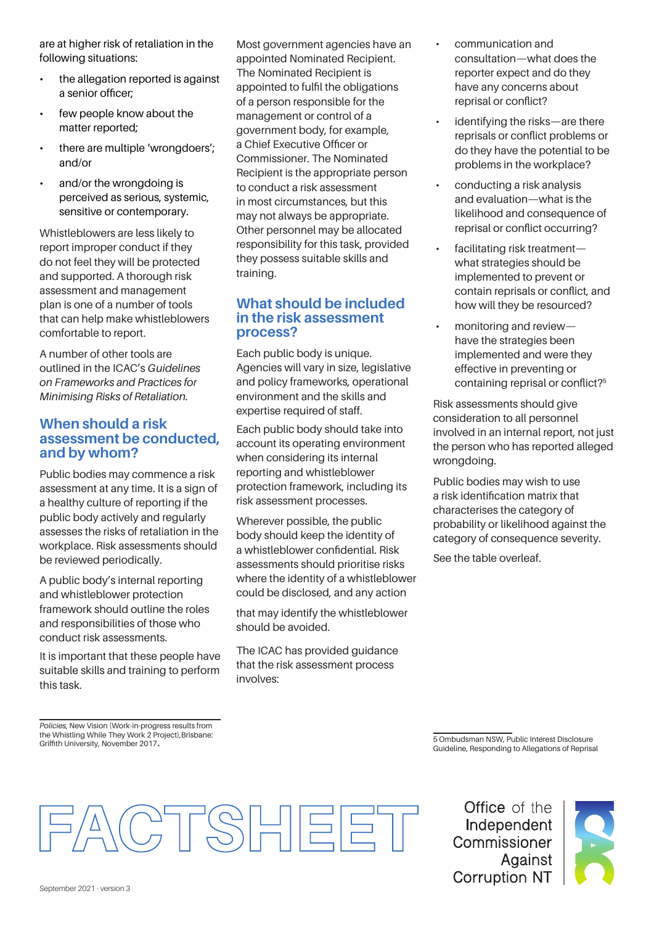are at higher risk of retaliation in the following situations:

- the allegation reported is against a senior officer;
- few people know about the matter reported;
- there are multiple 'wrongdoers'; and/or
- and/or the wrongdoing is perceived as serious, systemic, sensitive or contemporary.

Whistleblowers are less likely to report improper conduct if they do not feel they will be protected and supported. A thorough risk assessment and management plan is one of a number of tools that can help make whistleblowers comfortable to report.

A number of other tools are outlined in the ICAC's *Guidelines on Frameworks and Practices for Minimising Risks of Retaliation.*

#### **When should a risk assessment be conducted, and by whom?**

Public bodies may commence a risk assessment at any time. It is a sign of a healthy culture of reporting if the public body actively and regularly assesses the risks of retaliation in the workplace. Risk assessments should be reviewed periodically.

A public body's internal reporting and whistleblower protection framework should outline the roles and responsibilities of those who conduct risk assessments.

It is important that these people have suitable skills and training to perform this task.

Most government agencies have an appointed Nominated Recipient. The Nominated Recipient is appointed to fulfil the obligations of a person responsible for the management or control of a government body, for example, a Chief Executive Officer or Commissioner. The Nominated Recipient is the appropriate person to conduct a risk assessment in most circumstances, but this may not always be appropriate. Other personnel may be allocated responsibility for this task, provided they possess suitable skills and training.

#### **What should be included in the risk assessment process?**

Each public body is unique. Agencies will vary in size, legislative and policy frameworks, operational environment and the skills and expertise required of staff.

Each public body should take into account its operating environment when considering its internal reporting and whistleblower protection framework, including its risk assessment processes.

Wherever possible, the public body should keep the identity of a whistleblower confidential. Risk assessments should prioritise risks where the identity of a whistleblower could be disclosed, and any action

that may identify the whistleblower should be avoided.

The ICAC has provided guidance that the risk assessment process involves:

- communication and consultation—what does the reporter expect and do they have any concerns about reprisal or conflict?
- identifying the risks—are there reprisals or conflict problems or do they have the potential to be problems in the workplace?
- conducting a risk analysis and evaluation—what is the likelihood and consequence of reprisal or conflict occurring?
- facilitating risk treatmentwhat strategies should be implemented to prevent or contain reprisals or conflict, and how will they be resourced?
- monitoring and review have the strategies been implemented and were they effective in preventing or containing reprisal or conflict?<sup>5</sup>

Risk assessments should give consideration to all personnel involved in an internal report, not just the person who has reported alleged wrongdoing.

Public bodies may wish to use a risk identification matrix that characterises the category of probability or likelihood against the category of consequence severity.

See the table overleaf.

*Policies*, New Vision (Work-in-progress results from the Whistling While They Work 2 Project),Brisbane: Griffith University, November 2017.

5 Ombudsman NSW, Public Interest Disclosure Guideline, Responding to Allegations of Reprisal



**Office** of the Independent Commissioner Against **Corruption NT**